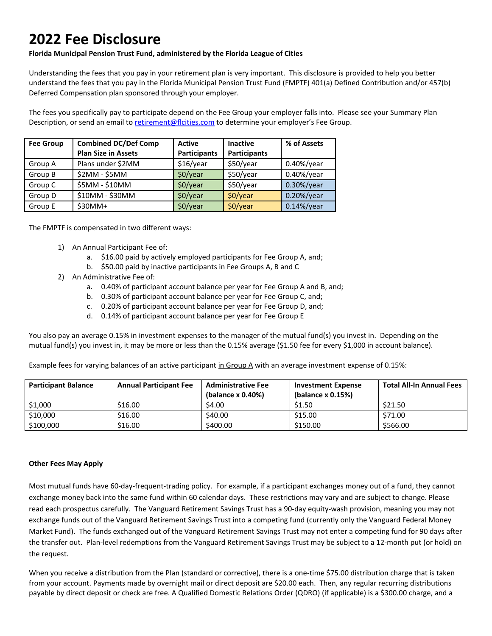# **2022 Fee Disclosure**

## **Florida Municipal Pension Trust Fund, administered by the Florida League of Cities**

Understanding the fees that you pay in your retirement plan is very important. This disclosure is provided to help you better understand the fees that you pay in the Florida Municipal Pension Trust Fund (FMPTF) 401(a) Defined Contribution and/or 457(b) Deferred Compensation plan sponsored through your employer.

The fees you specifically pay to participate depend on the Fee Group your employer falls into. Please see your Summary Plan Description, or send an email to retirement@flcities.com to determine your employer's Fee Group.

| <b>Fee Group</b> | <b>Combined DC/Def Comp</b> | <b>Active</b>       | <b>Inactive</b>     | % of Assets    |
|------------------|-----------------------------|---------------------|---------------------|----------------|
|                  | <b>Plan Size in Assets</b>  | <b>Participants</b> | <b>Participants</b> |                |
| Group A          | Plans under \$2MM           | \$16/year           | \$50/year           | $0.40\%$ /year |
| Group B          | \$2MM - \$5MM               | $$0$ /year          | \$50/year           | $0.40\%$ /year |
| Group C          | \$5MM - \$10MM              | $$0$ /year          | \$50/year           | 0.30%/year     |
| Group D          | \$10MM - \$30MM             | \$0/year            | $$0$ /year          | $0.20\%/year$  |
| Group E          | $$30MM+$                    | \$0/year            | \$0/year            | $0.14\%$ /year |

The FMPTF is compensated in two different ways:

- 1) An Annual Participant Fee of:
	- a. \$16.00 paid by actively employed participants for Fee Group A, and;
	- b. \$50.00 paid by inactive participants in Fee Groups A, B and C
- 2) An Administrative Fee of:
	- a. 0.40% of participant account balance per year for Fee Group A and B, and;
	- b. 0.30% of participant account balance per year for Fee Group C, and;
	- c. 0.20% of participant account balance per year for Fee Group D, and;
	- d. 0.14% of participant account balance per year for Fee Group E

You also pay an average 0.15% in investment expenses to the manager of the mutual fund(s) you invest in. Depending on the mutual fund(s) you invest in, it may be more or less than the 0.15% average (\$1.50 fee for every \$1,000 in account balance).

Example fees for varying balances of an active participant in Group A with an average investment expense of 0.15%:

| <b>Participant Balance</b> | <b>Annual Participant Fee</b> | <b>Administrative Fee</b><br>(balance x 0.40%) | <b>Investment Expense</b><br>(balance $x$ 0.15%) | <b>Total All-In Annual Fees</b> |
|----------------------------|-------------------------------|------------------------------------------------|--------------------------------------------------|---------------------------------|
| \$1,000                    | \$16.00                       | \$4.00                                         | \$1.50                                           | \$21.50                         |
| \$10,000                   | \$16.00                       | \$40.00                                        | \$15.00                                          | \$71.00                         |
| \$100,000                  | \$16.00                       | \$400.00                                       | \$150.00                                         | \$566.00                        |

## **Other Fees May Apply**

Most mutual funds have 60-day-frequent-trading policy. For example, if a participant exchanges money out of a fund, they cannot exchange money back into the same fund within 60 calendar days. These restrictions may vary and are subject to change. Please read each prospectus carefully. The Vanguard Retirement Savings Trust has a 90-day equity-wash provision, meaning you may not exchange funds out of the Vanguard Retirement Savings Trust into a competing fund (currently only the Vanguard Federal Money Market Fund). The funds exchanged out of the Vanguard Retirement Savings Trust may not enter a competing fund for 90 days after the transfer out. Plan-level redemptions from the Vanguard Retirement Savings Trust may be subject to a 12-month put (or hold) on the request.

When you receive a distribution from the Plan (standard or corrective), there is a one-time \$75.00 distribution charge that is taken from your account. Payments made by overnight mail or direct deposit are \$20.00 each. Then, any regular recurring distributions payable by direct deposit or check are free. A Qualified Domestic Relations Order (QDRO) (if applicable) is a \$300.00 charge, and a